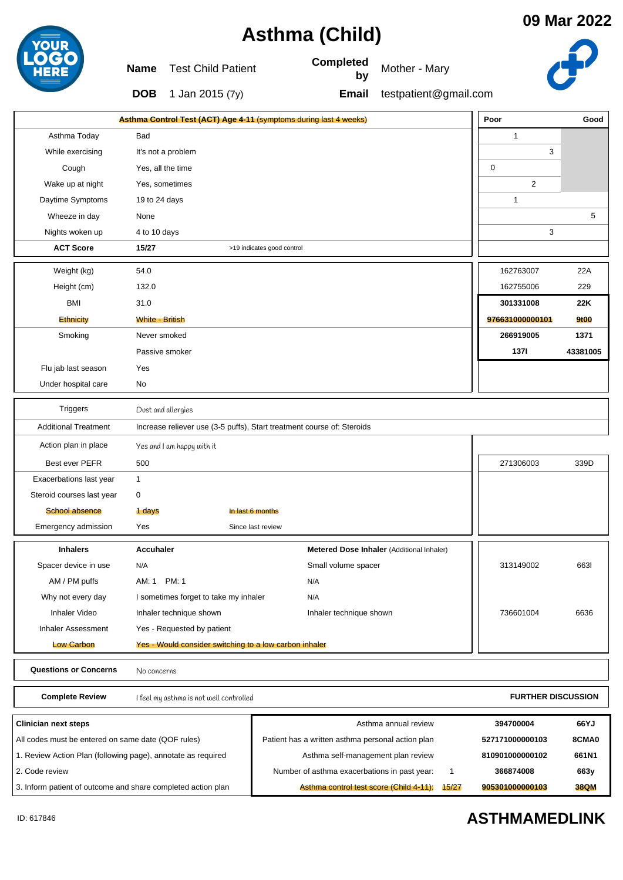| Asthma (Child)                                               |                        |                                                                        |                            |                                                   |                                           |                           | 09 Mar 202  |  |
|--------------------------------------------------------------|------------------------|------------------------------------------------------------------------|----------------------------|---------------------------------------------------|-------------------------------------------|---------------------------|-------------|--|
|                                                              | Name                   | <b>Test Child Patient</b>                                              |                            | Completed<br>by                                   | Mother - Mary                             |                           |             |  |
|                                                              | <b>DOB</b>             | 1 Jan 2015 (7y)                                                        |                            | Email                                             | testpatient@gmail.com                     |                           |             |  |
|                                                              |                        | Asthma Control Test (ACT) Age 4-11 (symptoms during last 4 weeks)      |                            |                                                   |                                           | Poor                      | Gooc        |  |
| Asthma Today                                                 | Bad                    |                                                                        |                            |                                                   |                                           | $\mathbf{1}$              |             |  |
| While exercising                                             |                        | It's not a problem                                                     |                            |                                                   |                                           | 3                         |             |  |
| Cough                                                        |                        | Yes, all the time                                                      |                            |                                                   |                                           | 0                         |             |  |
| Wake up at night                                             |                        | Yes, sometimes                                                         |                            |                                                   |                                           |                           |             |  |
| Daytime Symptoms                                             | 19 to 24 days          |                                                                        |                            |                                                   |                                           | $\mathbf{1}$              |             |  |
| Wheeze in day                                                | None                   |                                                                        |                            |                                                   |                                           |                           | 5           |  |
| Nights woken up                                              | 4 to 10 days           |                                                                        |                            |                                                   |                                           | 3                         |             |  |
| <b>ACT Score</b>                                             | 15/27                  |                                                                        | >19 indicates good control |                                                   |                                           |                           |             |  |
| Weight (kg)                                                  | 54.0                   |                                                                        |                            |                                                   |                                           | 162763007                 | 22A         |  |
| Height (cm)                                                  | 132.0                  |                                                                        |                            |                                                   |                                           | 162755006                 | 229         |  |
| <b>BMI</b>                                                   | 31.0                   |                                                                        |                            |                                                   |                                           | 301331008                 | 22K         |  |
| Ethnicity                                                    | <b>White - British</b> |                                                                        |                            |                                                   |                                           | 976631000000101           | 9t00        |  |
| Smoking                                                      | Never smoked           |                                                                        |                            |                                                   |                                           | 266919005                 | 1371        |  |
|                                                              |                        | Passive smoker                                                         |                            |                                                   |                                           | 1371                      | 43381005    |  |
| Flu jab last season                                          | Yes                    |                                                                        |                            |                                                   |                                           |                           |             |  |
| Under hospital care                                          | No                     |                                                                        |                            |                                                   |                                           |                           |             |  |
| <b>Triggers</b>                                              |                        | Dust and allergies                                                     |                            |                                                   |                                           |                           |             |  |
| <b>Additional Treatment</b>                                  |                        | Increase reliever use (3-5 puffs), Start treatment course of: Steroids |                            |                                                   |                                           |                           |             |  |
| Action plan in place                                         |                        | Yes and I am happy with it                                             |                            |                                                   |                                           |                           |             |  |
| Best ever PEFR                                               | 500                    |                                                                        |                            |                                                   |                                           | 271306003                 | 339D        |  |
| Exacerbations last year                                      | 1                      |                                                                        |                            |                                                   |                                           |                           |             |  |
| Steroid courses last year                                    | 0                      |                                                                        |                            |                                                   |                                           |                           |             |  |
| <b>School absence</b>                                        | 1 days                 |                                                                        | In last 6 months           |                                                   |                                           |                           |             |  |
| Emergency admission                                          | Yes                    |                                                                        | Since last review          |                                                   |                                           |                           |             |  |
| <b>Inhalers</b>                                              | Accuhaler              |                                                                        |                            |                                                   | Metered Dose Inhaler (Additional Inhaler) |                           |             |  |
| Spacer device in use                                         | N/A                    |                                                                        |                            | Small volume spacer                               |                                           | 313149002                 | 6631        |  |
| AM / PM puffs                                                | AM: 1                  | <b>PM: 1</b>                                                           |                            | N/A                                               |                                           |                           |             |  |
| Why not every day                                            |                        | I sometimes forget to take my inhaler                                  |                            | N/A                                               |                                           |                           |             |  |
| Inhaler Video                                                |                        | Inhaler technique shown<br>Inhaler technique shown                     |                            |                                                   |                                           | 736601004                 | 6636        |  |
| <b>Inhaler Assessment</b>                                    |                        | Yes - Requested by patient                                             |                            |                                                   |                                           |                           |             |  |
| <b>Low Carbon</b>                                            |                        | Yes - Would consider switching to a low carbon inhaler                 |                            |                                                   |                                           |                           |             |  |
| Questions or Concerns                                        |                        | No concerns                                                            |                            |                                                   |                                           |                           |             |  |
| <b>Complete Review</b>                                       |                        | I feel my asthma is not well controlled                                |                            |                                                   |                                           | <b>FURTHER DISCUSSION</b> |             |  |
| Clinician next steps                                         |                        |                                                                        |                            |                                                   | Asthma annual review                      | 394700004                 | 66YJ        |  |
| All codes must be entered on same date (QOF rules)           |                        |                                                                        |                            | Patient has a written asthma personal action plan |                                           | 527171000000103           | 8CMA0       |  |
| 1. Review Action Plan (following page), annotate as required |                        |                                                                        |                            | Asthma self-management plan review                |                                           | 810901000000102           | 661N1       |  |
| 2. Code review                                               |                        |                                                                        |                            | Number of asthma exacerbations in past year:      | 1                                         | 366874008                 | 663y        |  |
| 3. Inform patient of outcome and share completed action plan |                        |                                                                        |                            | Asthma control test score (Child 4-11):           | 15/27                                     | 905301000000103           | <b>38QM</b> |  |